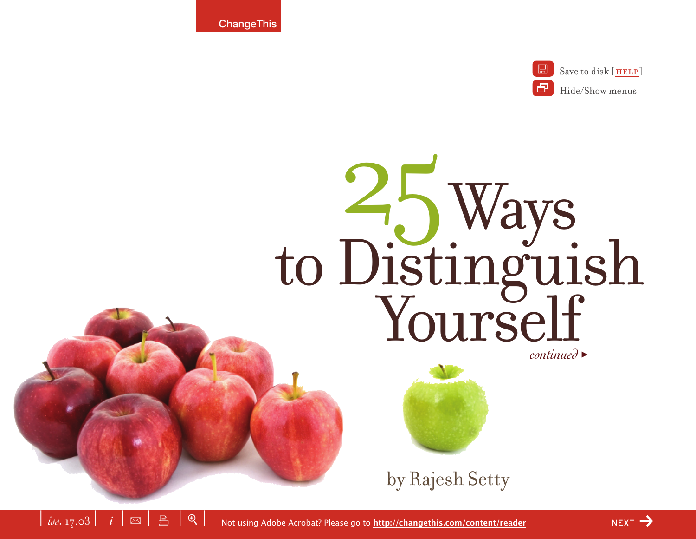**ChangeThis** 



# Ways to Distinguish Yourself 25





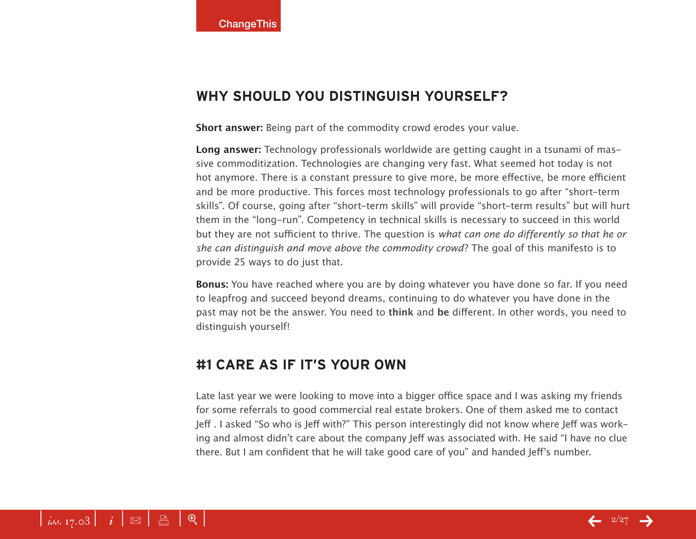#### **Why should you distinguish yourself?**

**Short answer:** Being part of the commodity crowd erodes your value.

**Long answer:** Technology professionals worldwide are getting caught in a tsunami of massive commoditization. Technologies are changing very fast. What seemed hot today is not hot anymore. There is a constant pressure to give more, be more effective, be more efficient and be more productive. This forces most technology professionals to go after "short-term skills". Of course, going after "short-term skills" will provide "short-term results" but will hurt them in the "long-run". Competency in technical skills is necessary to succeed in this world but they are not sufficient to thrive. The question is *what can one do differently so that he or she can distinguish and move above the commodity crowd*? The goal of this manifesto is to provide 25 ways to do just that.

**Bonus:** You have reached where you are by doing whatever you have done so far. If you need to leapfrog and succeed beyond dreams, continuing to do whatever you have done in the past may not be the answer. You need to **think** and **be** different. In other words, you need to distinguish yourself!

## **#1 Care as if it's your own**

Late last year we were looking to move into a bigger office space and I was asking my friends for some referrals to good commercial real estate brokers. One of them asked me to contact Jeff . I asked "So who is Jeff with?" This person interestingly did not know where Jeff was working and almost didn't care about the company Jeff was associated with. He said "I have no clue there. But I am confident that he will take good care of you" and handed Jeff's number.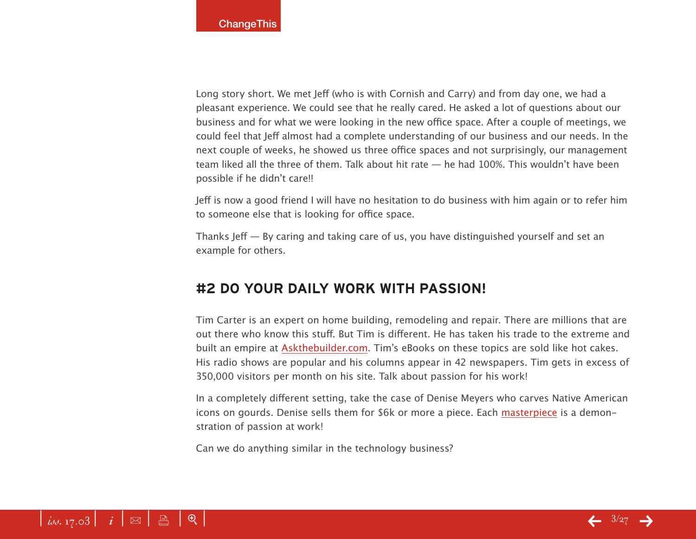Long story short. We met Jeff (who is with Cornish and Carry) and from day one, we had a pleasant experience. We could see that he really cared. He asked a lot of questions about our business and for what we were looking in the new office space. After a couple of meetings, we could feel that Jeff almost had a complete understanding of our business and our needs. In the next couple of weeks, he showed us three office spaces and not surprisingly, our management team liked all the three of them. Talk about hit rate — he had 100%. This wouldn't have been possible if he didn't care!!

Jeff is now a good friend I will have no hesitation to do business with him again or to refer him to someone else that is looking for office space.

Thanks Jeff — By caring and taking care of us, you have distinguished yourself and set an example for others.

## **#2 Do your daily work with passion!**

Tim Carter is an expert on home building, remodeling and repair. There are millions that are out there who know this stuff. But Tim is different. He has taken his trade to the extreme and built an empire at [Askthebuilder.com](http://www.askthebuilder.com/). Tim's eBooks on these topics are sold like hot cakes. His radio shows are popular and his columns appear in 42 newspapers. Tim gets in excess of 350,000 visitors per month on his site. Talk about passion for his work!

In a completely different setting, take the case of Denise Meyers who carves Native American icons on gourds. Denise sells them for \$6k or more a piece. Each [masterpiece](http://www.denisemeyers.com/process.htm) is a demonstration of passion at work!

Can we do anything similar in the technology business?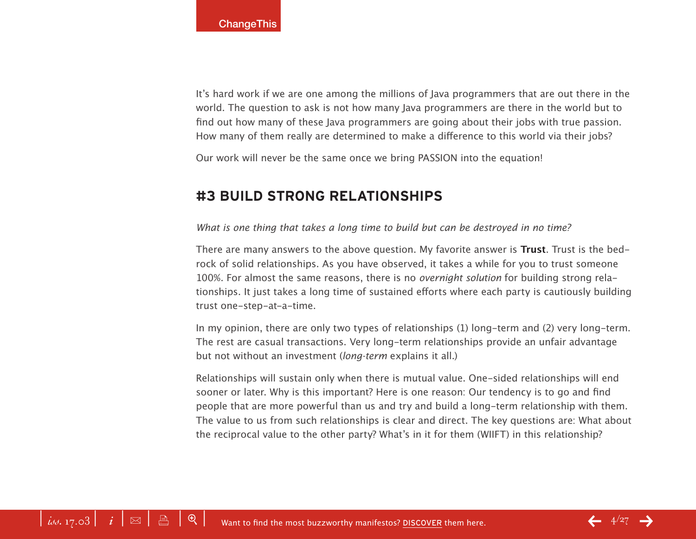It's hard work if we are one among the millions of Java programmers that are out there in the world. The question to ask is not how many Java programmers are there in the world but to find out how many of these Java programmers are going about their jobs with true passion. How many of them really are determined to make a difference to this world via their jobs?

Our work will never be the same once we bring PASSION into the equation!

## **#3 Build strong relationships**

#### *What is one thing that takes a long time to build but can be destroyed in no time?*

There are many answers to the above question. My favorite answer is **Trust**. Trust is the bedrock of solid relationships. As you have observed, it takes a while for you to trust someone 100%. For almost the same reasons, there is no *overnight solution* for building strong relationships. It just takes a long time of sustained efforts where each party is cautiously building trust one-step-at-a-time.

In my opinion, there are only two types of relationships (1) long-term and (2) very long-term. The rest are casual transactions. Very long-term relationships provide an unfair advantage but not without an investment (*long-term* explains it all.)

Relationships will sustain only when there is mutual value. One-sided relationships will end sooner or later. Why is this important? Here is one reason: Our tendency is to go and find people that are more powerful than us and try and build a long-term relationship with them. The value to us from such relationships is clear and direct. The key questions are: What about the reciprocal value to the other party? What's in it for them (WIIFT) in this relationship?

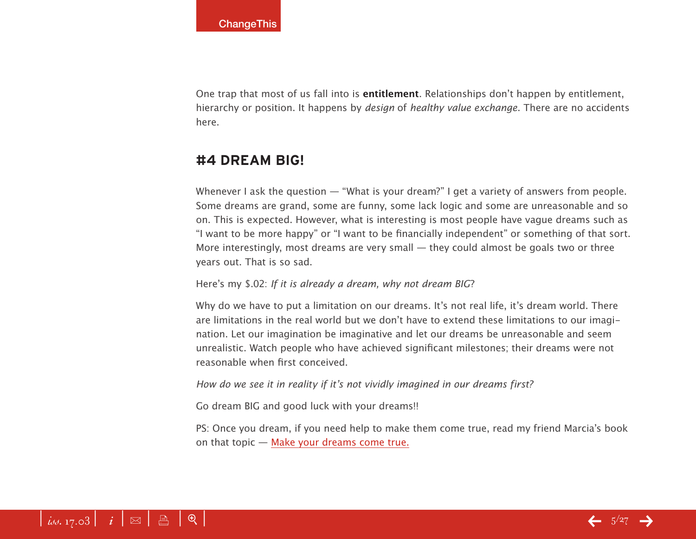One trap that most of us fall into is **entitlement**. Relationships don't happen by entitlement, hierarchy or position. It happens by *design* of *healthy value exchange*. There are no accidents here.

#### **#4 Dream BIG!**

Whenever I ask the question — "What is your dream?" I get a variety of answers from people. Some dreams are grand, some are funny, some lack logic and some are unreasonable and so on. This is expected. However, what is interesting is most people have vague dreams such as "I want to be more happy" or "I want to be financially independent" or something of that sort. More interestingly, most dreams are very small — they could almost be goals two or three years out. That is so sad.

#### Here's my \$.02: *If it is already a dream, why not dream BIG*?

Why do we have to put a limitation on our dreams. It's not real life, it's dream world. There are limitations in the real world but we don't have to extend these limitations to our imagination. Let our imagination be imaginative and let our dreams be unreasonable and seem unrealistic. Watch people who have achieved significant milestones; their dreams were not reasonable when first conceived.

*How do we see it in reality if it's not vividly imagined in our dreams first?*

Go dream BIG and good luck with your dreams!!

PS: Once you dream, if you need help to make them come true, read my friend Marcia's book on that topic — [Make your dreams come tru](http://www.amazon.com/exec/obidos/redirect?tag=lifebeyondcod-20&path=tg/detail/-/0609606085/qid=1109302439/sr=8-2/ref=sr_8_xs_ap_i1_xgl14/?v=glance&s=books&n=507846)e.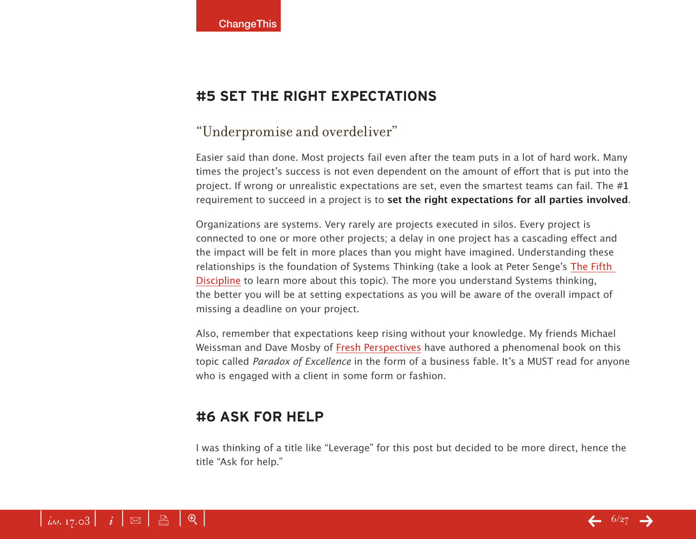## **#5 Set the right expectations**

## "Underpromise and overdeliver"

Easier said than done. Most projects fail even after the team puts in a lot of hard work. Many times the project's success is not even dependent on the amount of effort that is put into the project. If wrong or unrealistic expectations are set, even the smartest teams can fail. The **#1** requirement to succeed in a project is to **set the right expectations for all parties involved**.

Organizations are systems. Very rarely are projects executed in silos. Every project is connected to one or more other projects; a delay in one project has a cascading effect and the impact will be felt in more places than you might have imagined. Understanding these relationships is the foundation of Systems Thinking (take a look at Peter Senge's [The Fifth](http://www.amazon.com/exec/obidos/redirect?tag=lifebeyondcod-20&path=ASIN/0385260954/qid=1110006152/sr=2-1/ref=pd_bbs_b_2_1/)  [Disciplin](http://www.amazon.com/exec/obidos/redirect?tag=lifebeyondcod-20&path=ASIN/0385260954/qid=1110006152/sr=2-1/ref=pd_bbs_b_2_1/)e to learn more about this topic). The more you understand Systems thinking, the better you will be at setting expectations as you will be aware of the overall impact of missing a deadline on your project.

Also, remember that expectations keep rising without your knowledge. My friends Michael Weissman and Dave Mosby of [Fresh Perspectives](http://www.freshperspectives.net) have authored a phenomenal book on this topic called *Paradox of Excellence* in the form of a business fable. It's a MUST read for anyone who is engaged with a client in some form or fashion.

## **#6 Ask for help**

I was thinking of a title like "Leverage" for this post but decided to be more direct, hence the title "Ask for help."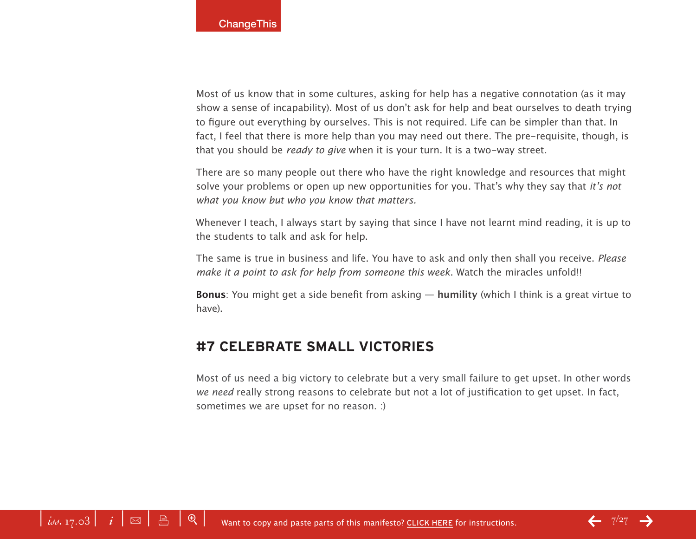Most of us know that in some cultures, asking for help has a negative connotation (as it may show a sense of incapability). Most of us don't ask for help and beat ourselves to death trying to figure out everything by ourselves. This is not required. Life can be simpler than that. In fact, I feel that there is more help than you may need out there. The pre-requisite, though, is that you should be *ready to give* when it is your turn. It is a two-way street.

There are so many people out there who have the right knowledge and resources that might solve your problems or open up new opportunities for you. That's why they say that *it's not what you know but who you know that matters.*

Whenever I teach, I always start by saying that since I have not learnt mind reading, it is up to the students to talk and ask for help.

The same is true in business and life. You have to ask and only then shall you receive. *Please make it a point to ask for help from someone this week*. Watch the miracles unfold!!

**Bonus**: You might get a side benefit from asking — **humility** (which I think is a great virtue to have).

#### **#7 Celebrate small victories**

Most of us need a big victory to celebrate but a very small failure to get upset. In other words *we need* really strong reasons to celebrate but not a lot of justification to get upset. In fact, sometimes we are upset for no reason. :)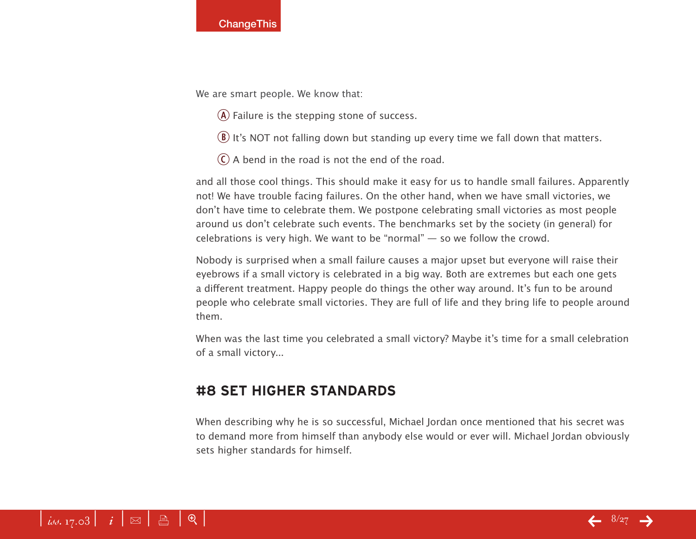We are smart people. We know that:

- $\overline{A}$  Failure is the stepping stone of success.
- $\Omega$  It's NOT not falling down but standing up every time we fall down that matters.
- $\overline{c}$  A bend in the road is not the end of the road.

and all those cool things. This should make it easy for us to handle small failures. Apparently not! We have trouble facing failures. On the other hand, when we have small victories, we don't have time to celebrate them. We postpone celebrating small victories as most people around us don't celebrate such events. The benchmarks set by the society (in general) for celebrations is very high. We want to be "normal" — so we follow the crowd.

Nobody is surprised when a small failure causes a major upset but everyone will raise their eyebrows if a small victory is celebrated in a big way. Both are extremes but each one gets a different treatment. Happy people do things the other way around. It's fun to be around people who celebrate small victories. They are full of life and they bring life to people around them.

When was the last time you celebrated a small victory? Maybe it's time for a small celebration of a small victory...

## **#8 Set higher standards**

When describing why he is so successful, Michael Jordan once mentioned that his secret was to demand more from himself than anybody else would or ever will. Michael Jordan obviously sets higher standards for himself.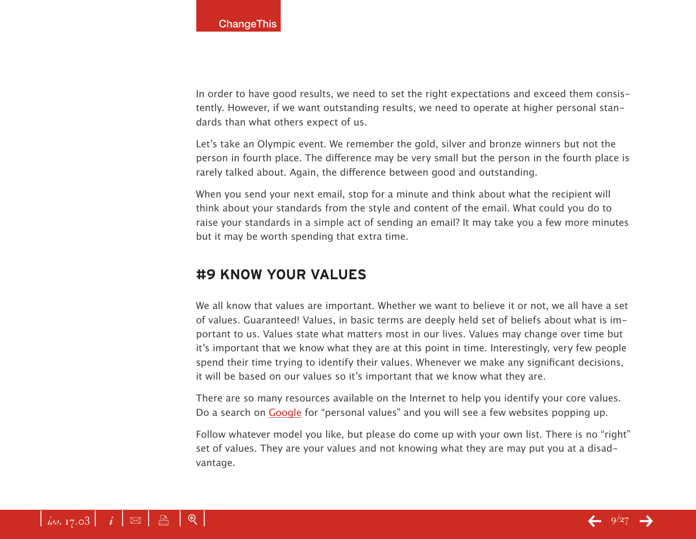In order to have good results, we need to set the right expectations and exceed them consistently. However, if we want outstanding results, we need to operate at higher personal standards than what others expect of us.

Let's take an Olympic event. We remember the gold, silver and bronze winners but not the person in fourth place. The difference may be very small but the person in the fourth place is rarely talked about. Again, the difference between good and outstanding.

When you send your next email, stop for a minute and think about what the recipient will think about your standards from the style and content of the email. What could you do to raise your standards in a simple act of sending an email? It may take you a few more minutes but it may be worth spending that extra time.

## **#9 Know your values**

We all know that values are important. Whether we want to believe it or not, we all have a set of values. Guaranteed! Values, in basic terms are deeply held set of beliefs about what is important to us. Values state what matters most in our lives. Values may change over time but it's important that we know what they are at this point in time. Interestingly, very few people spend their time trying to identify their values. Whenever we make any significant decisions, it will be based on our values so it's important that we know what they are.

There are so many resources available on the Internet to help you identify your core values. Do a search on [Google](http://www.google.com/) for "personal values" and you will see a few websites popping up.

Follow whatever model you like, but please do come up with your own list. There is no "right" set of values. They are your values and not knowing what they are may put you at a disadvantage.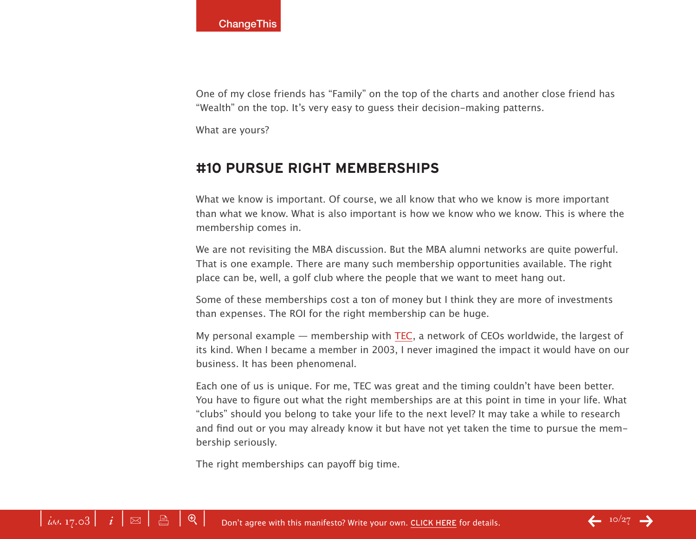One of my close friends has "Family" on the top of the charts and another close friend has "Wealth" on the top. It's very easy to guess their decision-making patterns.

What are yours?

#### **#10 Pursue right memberships**

What we know is important. Of course, we all know that who we know is more important than what we know. What is also important is how we know who we know. This is where the membership comes in.

We are not revisiting the MBA discussion. But the MBA alumni networks are quite powerful. That is one example. There are many such membership opportunities available. The right place can be, well, a golf club where the people that we want to meet hang out.

Some of these memberships cost a ton of money but I think they are more of investments than expenses. The ROI for the right membership can be huge.

My personal example — membership with [TE](http://www.teconline.com)C, a network of CEOs worldwide, the largest of its kind. When I became a member in 2003, I never imagined the impact it would have on our business. It has been phenomenal.

Each one of us is unique. For me, TEC was great and the timing couldn't have been better. You have to figure out what the right memberships are at this point in time in your life. What "clubs" should you belong to take your life to the next level? It may take a while to research and find out or you may already know it but have not yet taken the time to pursue the membership seriously.

The right memberships can payoff big time.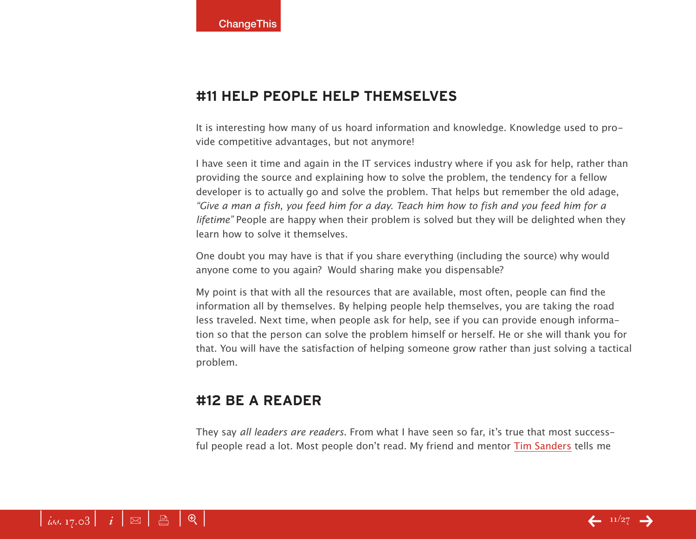#### **#11 Help people help themselves**

It is interesting how many of us hoard information and knowledge. Knowledge used to provide competitive advantages, but not anymore!

I have seen it time and again in the IT services industry where if you ask for help, rather than providing the source and explaining how to solve the problem, the tendency for a fellow developer is to actually go and solve the problem. That helps but remember the old adage, *"Give a man a fish, you feed him for a day. Teach him how to fish and you feed him for a lifetime"* People are happy when their problem is solved but they will be delighted when they learn how to solve it themselves.

One doubt you may have is that if you share everything (including the source) why would anyone come to you again? Would sharing make you dispensable?

My point is that with all the resources that are available, most often, people can find the information all by themselves. By helping people help themselves, you are taking the road less traveled. Next time, when people ask for help, see if you can provide enough information so that the person can solve the problem himself or herself. He or she will thank you for that. You will have the satisfaction of helping someone grow rather than just solving a tactical problem.

#### **#12 Be a reader**

They say *all leaders are readers*. From what I have seen so far, it's true that most successful people read a lot. Most people don't read. My friend and mentor [Tim Sander](http://www.timsanders.com)s tells me

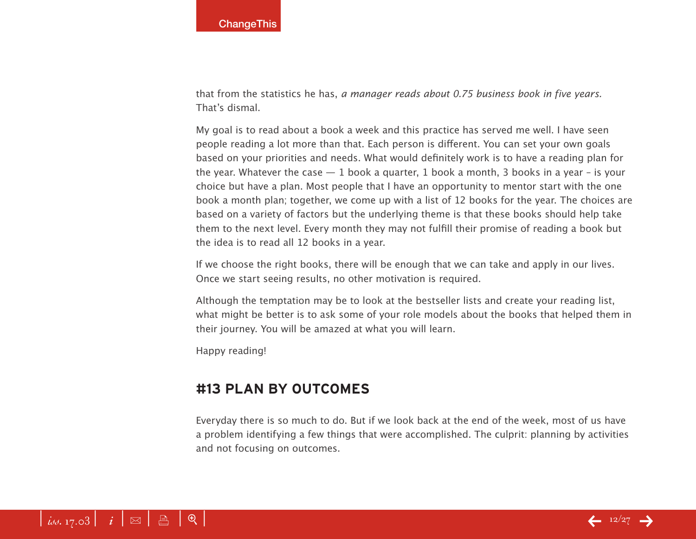that from the statistics he has, *a manager reads about 0.75 business book in five years.* That's dismal.

My goal is to read about a book a week and this practice has served me well. I have seen people reading a lot more than that. Each person is different. You can set your own goals based on your priorities and needs. What would definitely work is to have a reading plan for the year. Whatever the case  $-1$  book a quarter, 1 book a month, 3 books in a year – is your choice but have a plan. Most people that I have an opportunity to mentor start with the one book a month plan; together, we come up with a list of 12 books for the year. The choices are based on a variety of factors but the underlying theme is that these books should help take them to the next level. Every month they may not fulfill their promise of reading a book but the idea is to read all 12 books in a year.

If we choose the right books, there will be enough that we can take and apply in our lives. Once we start seeing results, no other motivation is required.

Although the temptation may be to look at the bestseller lists and create your reading list, what might be better is to ask some of your role models about the books that helped them in their journey. You will be amazed at what you will learn.

Happy reading!

## **#13 Plan by outcomes**

Everyday there is so much to do. But if we look back at the end of the week, most of us have a problem identifying a few things that were accomplished. The culprit: planning by activities and not focusing on outcomes.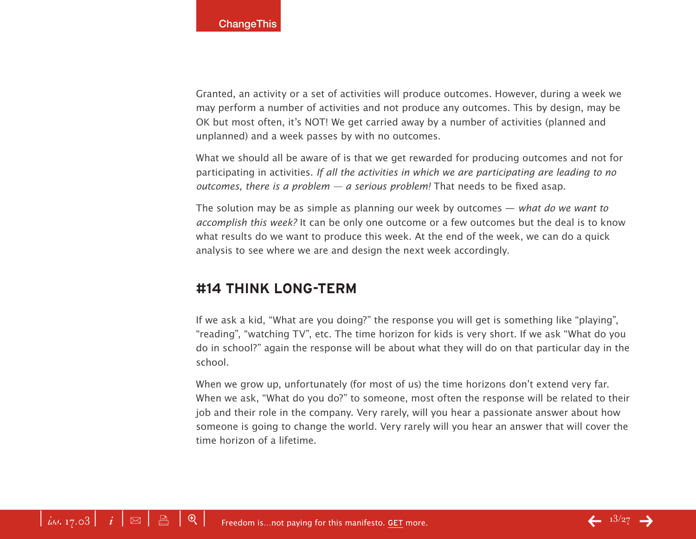Granted, an activity or a set of activities will produce outcomes. However, during a week we may perform a number of activities and not produce any outcomes. This by design, may be OK but most often, it's NOT! We get carried away by a number of activities (planned and unplanned) and a week passes by with no outcomes.

What we should all be aware of is that we get rewarded for producing outcomes and not for participating in activities. *If all the activities in which we are participating are leading to no outcomes, there is a problem — a serious problem!* That needs to be fixed asap.

The solution may be as simple as planning our week by outcomes — *what do we want to accomplish this week?* It can be only one outcome or a few outcomes but the deal is to know what results do we want to produce this week. At the end of the week, we can do a quick analysis to see where we are and design the next week accordingly.

## **#14 Think Long-term**

If we ask a kid, "What are you doing?" the response you will get is something like "playing", "reading", "watching TV", etc. The time horizon for kids is very short. If we ask "What do you do in school?" again the response will be about what they will do on that particular day in the school.

When we grow up, unfortunately (for most of us) the time horizons don't extend very far. When we ask, "What do you do?" to someone, most often the response will be related to their job and their role in the company. Very rarely, will you hear a passionate answer about how someone is going to change the world. Very rarely will you hear an answer that will cover the time horizon of a lifetime.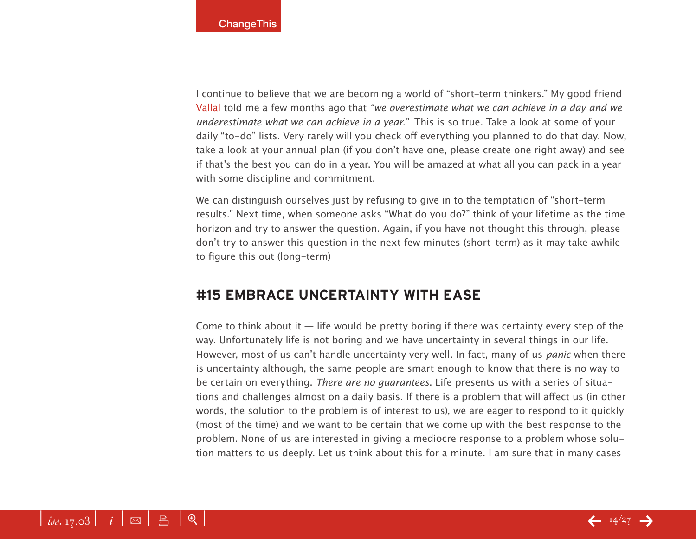I continue to believe that we are becoming a world of "short-term thinkers." My good friend [Vallal](http://www.thegamecalledlife.com) told me a few months ago that *"we overestimate what we can achieve in a day and we underestimate what we can achieve in a year."* This is so true. Take a look at some of your daily "to-do" lists. Very rarely will you check off everything you planned to do that day. Now, take a look at your annual plan (if you don't have one, please create one right away) and see if that's the best you can do in a year. You will be amazed at what all you can pack in a year with some discipline and commitment.

We can distinguish ourselves just by refusing to give in to the temptation of "short-term results." Next time, when someone asks "What do you do?" think of your lifetime as the time horizon and try to answer the question. Again, if you have not thought this through, please don't try to answer this question in the next few minutes (short-term) as it may take awhile to figure this out (long-term)

#### **#15 Embrace uncertainty with ease**

Come to think about it  $-$  life would be pretty boring if there was certainty every step of the way. Unfortunately life is not boring and we have uncertainty in several things in our life. However, most of us can't handle uncertainty very well. In fact, many of us *panic* when there is uncertainty although, the same people are smart enough to know that there is no way to be certain on everything. *There are no guarantees*. Life presents us with a series of situations and challenges almost on a daily basis. If there is a problem that will affect us (in other words, the solution to the problem is of interest to us), we are eager to respond to it quickly (most of the time) and we want to be certain that we come up with the best response to the problem. None of us are interested in giving a mediocre response to a problem whose solution matters to us deeply. Let us think about this for a minute. I am sure that in many cases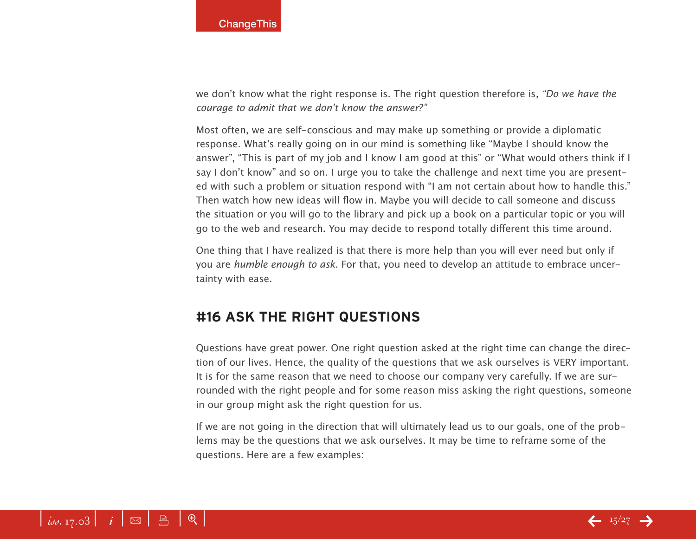we don't know what the right response is. The right question therefore is, *"Do we have the courage to admit that we don't know the answer?"*

Most often, we are self-conscious and may make up something or provide a diplomatic response. What's really going on in our mind is something like "Maybe I should know the answer", "This is part of my job and I know I am good at this" or "What would others think if I say I don't know" and so on. I urge you to take the challenge and next time you are presented with such a problem or situation respond with "I am not certain about how to handle this." Then watch how new ideas will flow in. Maybe you will decide to call someone and discuss the situation or you will go to the library and pick up a book on a particular topic or you will go to the web and research. You may decide to respond totally different this time around.

One thing that I have realized is that there is more help than you will ever need but only if you are *humble enough to ask*. For that, you need to develop an attitude to embrace uncertainty with ease.

## **#16 Ask the right questions**

Questions have great power. One right question asked at the right time can change the direction of our lives. Hence, the quality of the questions that we ask ourselves is VERY important. It is for the same reason that we need to choose our company very carefully. If we are surrounded with the right people and for some reason miss asking the right questions, someone in our group might ask the right question for us.

If we are not going in the direction that will ultimately lead us to our goals, one of the problems may be the questions that we ask ourselves. It may be time to reframe some of the questions. Here are a few examples: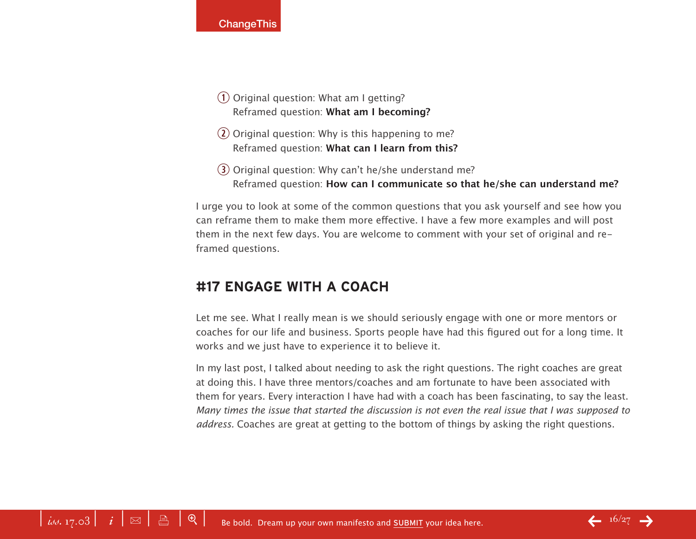- $\Omega$  Original question: What am I getting? Reframed question: **What am I becoming?**
- $\Omega$  Original question: Why is this happening to me? Reframed question: **What can I learn from this?**
- $\overline{3}$  Original question: Why can't he/she understand me? Reframed question: **How can I communicate so that he/she can understand me?**

I urge you to look at some of the common questions that you ask yourself and see how you can reframe them to make them more effective. I have a few more examples and will post them in the next few days. You are welcome to comment with your set of original and reframed questions.

## **#17 Engage with a coach**

Let me see. What I really mean is we should seriously engage with one or more mentors or coaches for our life and business. Sports people have had this figured out for a long time. It works and we just have to experience it to believe it.

In my last post, I talked about needing to ask the right questions. The right coaches are great at doing this. I have three mentors/coaches and am fortunate to have been associated with them for years. Every interaction I have had with a coach has been fascinating, to say the least. *Many times the issue that started the discussion is not even the real issue that I was supposed to address.* Coaches are great at getting to the bottom of things by asking the right questions.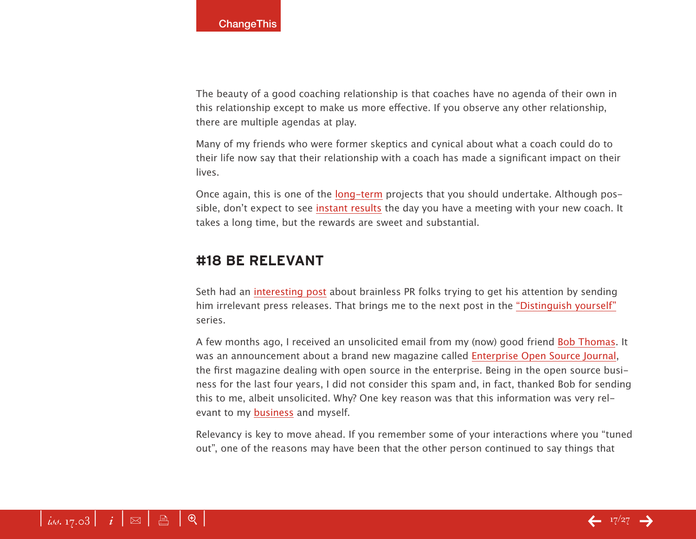The beauty of a good coaching relationship is that coaches have no agenda of their own in this relationship except to make us more effective. If you observe any other relationship, there are multiple agendas at play.

Many of my friends who were former skeptics and cynical about what a coach could do to their life now say that their relationship with a coach has made a significant impact on their lives.

Once again, this is one of the [long-term](http://blog.lifebeyondcode.com/blog/_archives/2005/3/28/485703.html) projects that you should undertake. Although possible, don't expect to see [instant results](http://blog.lifebeyondcode.com/blog/_archives/2005/2/21/353385.html) the day you have a meeting with your new coach. It takes a long time, but the rewards are sweet and substantial.

#### **#18 Be relevant**

Seth had an interestin[g post](http://sethgodin.typepad.com/seths_blog/2005/04/so_go_ahead_and.html) about brainless PR folks trying to get his attention by sending him irrelevant press releases. That brings me to the next post in the ["Distinguish yourself](http://blog.lifebeyondcode.com/blog/Distinguishyourself)" series.

A few months ago, I received an unsolicited email from my (now) good friend [Bob Thomas](http://www.eosj.com/about.htm). It was an announcement about a brand new magazine called [Enterprise Open Source Journa](http://www.eosj.com/)l, the first magazine dealing with open source in the enterprise. Being in the open source business for the last four years, I did not consider this spam and, in fact, thanked Bob for sending this to me, albeit unsolicited. Why? One key reason was that this information was very relevant to my [business](http://www.cignex.com/) and myself.

Relevancy is key to move ahead. If you remember some of your interactions where you "tuned out", one of the reasons may have been that the other person continued to say things that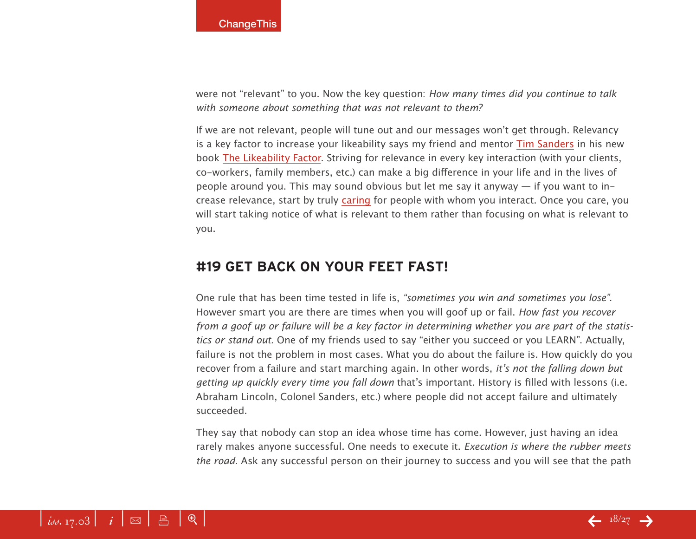were not "relevant" to you. Now the key question: *How many times did you continue to talk with someone about something that was not relevant to them?*

If we are not relevant, people will tune out and our messages won't get through. Relevancy is a key factor to increase your likeability says my friend and mentor [Tim Sander](http://www.timsanders.com/)s in his new book [The Likeability Factor](http://www.amazon.com/exec/obidos/redirect?tag=lifebeyondcod-20&path=tg/detail/-/1400080495/qid=1112940073/sr=8-1/ref=pd_csp_1?v=glance&s=books&n=507846). Striving for relevance in every key interaction (with your clients, co-workers, family members, etc.) can make a big difference in your life and in the lives of people around you. This may sound obvious but let me say it anyway — if you want to increase relevance, start by truly [caring](http://blog.lifebeyondcode.com/blog/Distinguishyourself/_archives/2005/2/21/353314.html) for people with whom you interact. Once you care, you will start taking notice of what is relevant to them rather than focusing on what is relevant to you.

#### **#19 Get back on your feet FAST!**

One rule that has been time tested in life is, *"sometimes you win and sometimes you lose".* However smart you are there are times when you will goof up or fail. *How fast you recover from a goof up or failure will be a key factor in determining whether you are part of the statistics or stand out.* One of my friends used to say "either you succeed or you LEARN". Actually, failure is not the problem in most cases. What you do about the failure is. How quickly do you recover from a failure and start marching again. In other words, *it's not the falling down but getting up quickly every time you fall down* that's important. History is filled with lessons (i.e. Abraham Lincoln, Colonel Sanders, etc.) where people did not accept failure and ultimately succeeded.

They say that nobody can stop an idea whose time has come. However, just having an idea rarely makes anyone successful. One needs to execute it. *Execution is where the rubber meets the road*. Ask any successful person on their journey to success and you will see that the path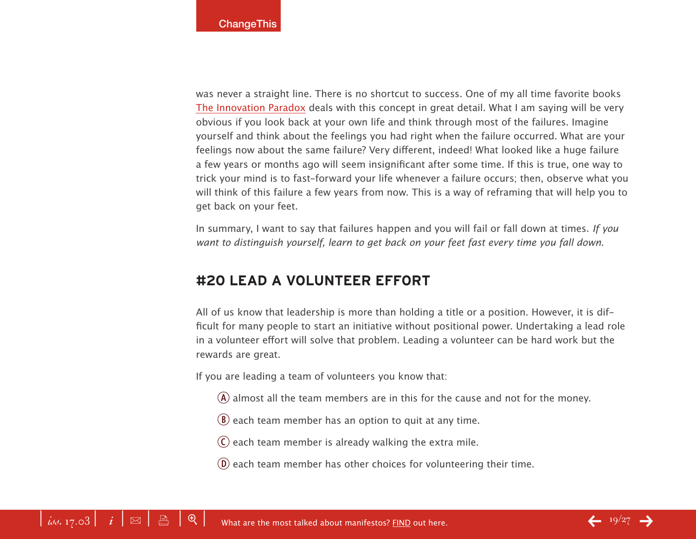was never a straight line. There is no shortcut to success. One of my all time favorite books [The Innovation Paradox](http://www.amazon.com/exec/obidos/redirect?tag=lifebeyondcod-20&path=ASIN/0743225937/qid=1113010552/sr=2-1/ref=pd_bbs_b_2_1) deals with this concept in great detail. What I am saying will be very obvious if you look back at your own life and think through most of the failures. Imagine yourself and think about the feelings you had right when the failure occurred. What are your feelings now about the same failure? Very different, indeed! What looked like a huge failure a few years or months ago will seem insignificant after some time. If this is true, one way to trick your mind is to fast-forward your life whenever a failure occurs; then, observe what you will think of this failure a few years from now. This is a way of reframing that will help you to get back on your feet.

In summary, I want to say that failures happen and you will fail or fall down at times. *If you want to distinguish yourself, learn to get back on your feet fast every time you fall down.*

#### **#20 Lead a volunteer effort**

All of us know that leadership is more than holding a title or a position. However, it is difficult for many people to start an initiative without positional power. Undertaking a lead role in a volunteer effort will solve that problem. Leading a volunteer can be hard work but the rewards are great.

If you are leading a team of volunteers you know that:

- $\overline{A}$  almost all the team members are in this for the cause and not for the money.
- $\left( \mathbf{B} \right)$  each team member has an option to quit at any time.
- $\mathcal{C}$  each team member is already walking the extra mile.
- $\phi$  each team member has other choices for volunteering their time.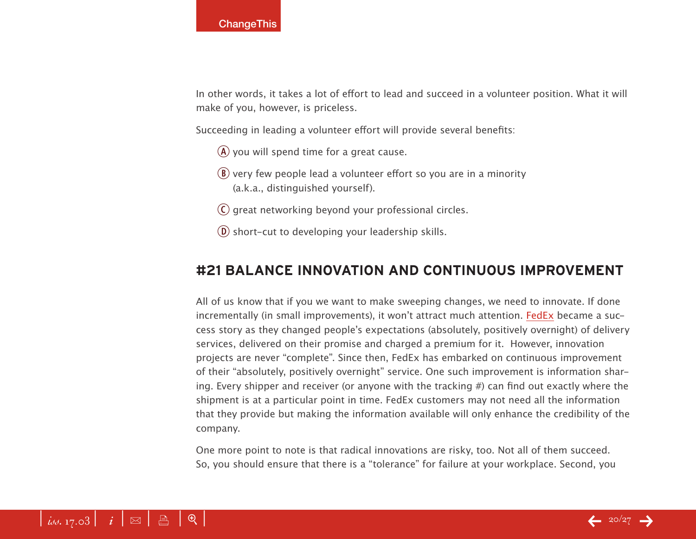In other words, it takes a lot of effort to lead and succeed in a volunteer position. What it will make of you, however, is priceless.

Succeeding in leading a volunteer effort will provide several benefits:

- $\overline{A}$  you will spend time for a great cause.
- $\circledR$  very few people lead a volunteer effort so you are in a minority (a.k.a., distinguished yourself).
- C great networking beyond your professional circles.
- $\overline{D}$  short-cut to developing your leadership skills.

## **#21 Balance Innovation and Continuous Improvement**

All of us know that if you we want to make sweeping changes, we need to innovate. If done incrementally (in small improvements), it won't attract much attention. [FedE](http://www.fedex.com)x became a success story as they changed people's expectations (absolutely, positively overnight) of delivery services, delivered on their promise and charged a premium for it. However, innovation projects are never "complete". Since then, FedEx has embarked on continuous improvement of their "absolutely, positively overnight" service. One such improvement is information sharing. Every shipper and receiver (or anyone with the tracking #) can find out exactly where the shipment is at a particular point in time. FedEx customers may not need all the information that they provide but making the information available will only enhance the credibility of the company.

One more point to note is that radical innovations are risky, too. Not all of them succeed. So, you should ensure that there is a "tolerance" for failure at your workplace. Second, you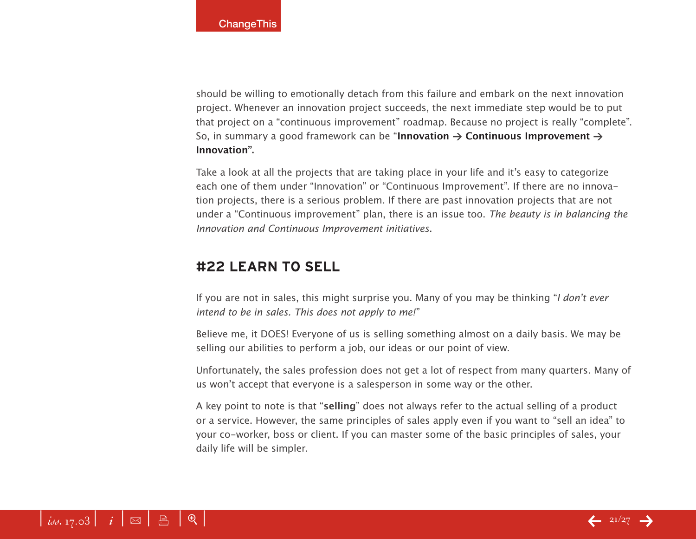should be willing to emotionally detach from this failure and embark on the next innovation project. Whenever an innovation project succeeds, the next immediate step would be to put that project on a "continuous improvement" roadmap. Because no project is really "complete". So, in summary a good framework can be "**Innovation > Continuous Improvement > Innovation".**

Take a look at all the projects that are taking place in your life and it's easy to categorize each one of them under "Innovation" or "Continuous Improvement". If there are no innovation projects, there is a serious problem. If there are past innovation projects that are not under a "Continuous improvement" plan, there is an issue too. *The beauty is in balancing the Innovation and Continuous Improvement initiatives*.

#### **#22 Learn to sell**

If you are not in sales, this might surprise you. Many of you may be thinking "*I don't ever intend to be in sales. This does not apply to me!*"

Believe me, it DOES! Everyone of us is selling something almost on a daily basis. We may be selling our abilities to perform a job, our ideas or our point of view.

Unfortunately, the sales profession does not get a lot of respect from many quarters. Many of us won't accept that everyone is a salesperson in some way or the other.

A key point to note is that "**selling**" does not always refer to the actual selling of a product or a service. However, the same principles of sales apply even if you want to "sell an idea" to your co-worker, boss or client. If you can master some of the basic principles of sales, your daily life will be simpler.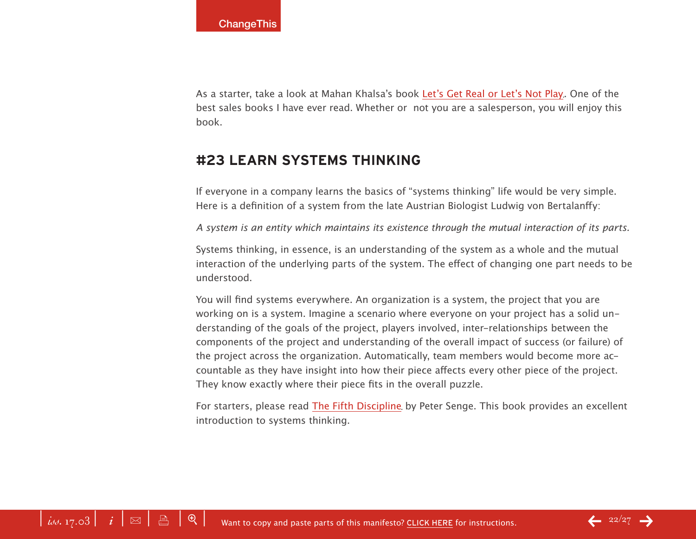As a starter, take a look at Mahan Khalsa's book [Let's Get Real or Let's Not Pla](http://www.amazon.com/exec/obidos/redirect?tag=lifebeyondcod-20&creative=9325&camp=1789&link_code=ur2&path=tg/detail/-/1883219507/qid=1114403090/sr=8-1/ref=pd_ka_1?v=glance&s=books&n=507846)y. One of the best sales books I have ever read. Whether or not you are a salesperson, you will enjoy this book.

#### **#23 Learn systems thinking**

If everyone in a company learns the basics of "systems thinking" life would be very simple. Here is a definition of a system from the late Austrian Biologist Ludwig von Bertalanffy:

*A system is an entity which maintains its existence through the mutual interaction of its parts.*

Systems thinking, in essence, is an understanding of the system as a whole and the mutual interaction of the underlying parts of the system. The effect of changing one part needs to be understood.

You will find systems everywhere. An organization is a system, the project that you are working on is a system. Imagine a scenario where everyone on your project has a solid understanding of the goals of the project, players involved, inter-relationships between the components of the project and understanding of the overall impact of success (or failure) of the project across the organization. Automatically, team members would become more accountable as they have insight into how their piece affects every other piece of the project. They know exactly where their piece fits in the overall puzzle.

For starters, please read [The Fifth Disciplin](http://www.amazon.com/exec/obidos/redirect?tag=lifebeyondcod-20&creative=9325&camp=1789&link_code=ur2&path=ASIN/0385260954/qid=1114492937/sr=2-1/ref=pd_bbs_b_2_1)e by Peter Senge. This book provides an excellent introduction to systems thinking.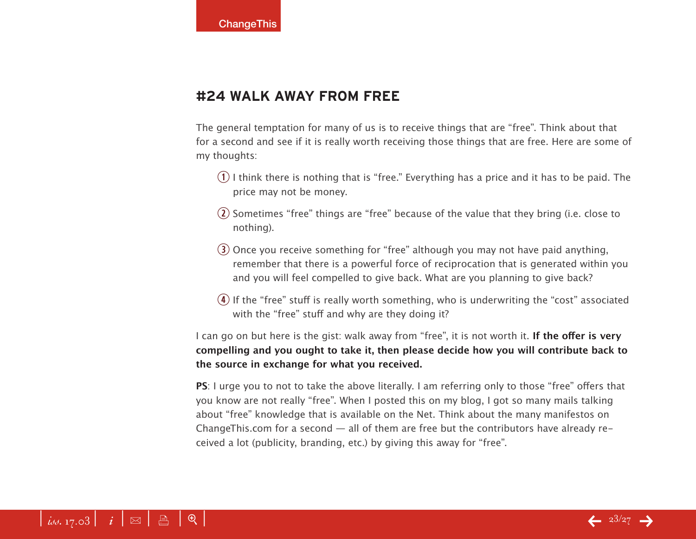#### **#24 Walk away from free**

The general temptation for many of us is to receive things that are "free". Think about that for a second and see if it is really worth receiving those things that are free. Here are some of my thoughts:

- $(1)$  I think there is nothing that is "free." Everything has a price and it has to be paid. The price may not be money.
- $\Omega$  Sometimes "free" things are "free" because of the value that they bring (i.e. close to nothing).
- $(3)$  Once you receive something for "free" although you may not have paid anything, remember that there is a powerful force of reciprocation that is generated within you and you will feel compelled to give back. What are you planning to give back?
- $\bf{r}$ ) If the "free" stuff is really worth something, who is underwriting the "cost" associated with the "free" stuff and why are they doing it?

I can go on but here is the gist: walk away from "free", it is not worth it. **If the offer is very compelling and you ought to take it, then please decide how you will contribute back to the source in exchange for what you received.**

**PS**: I urge you to not to take the above literally. I am referring only to those "free" offers that you know are not really "free". When I posted this on my blog, I got so many mails talking about "free" knowledge that is available on the Net. Think about the many manifestos on ChangeThis.com for a second  $-$  all of them are free but the contributors have already received a lot (publicity, branding, etc.) by giving this away for "free".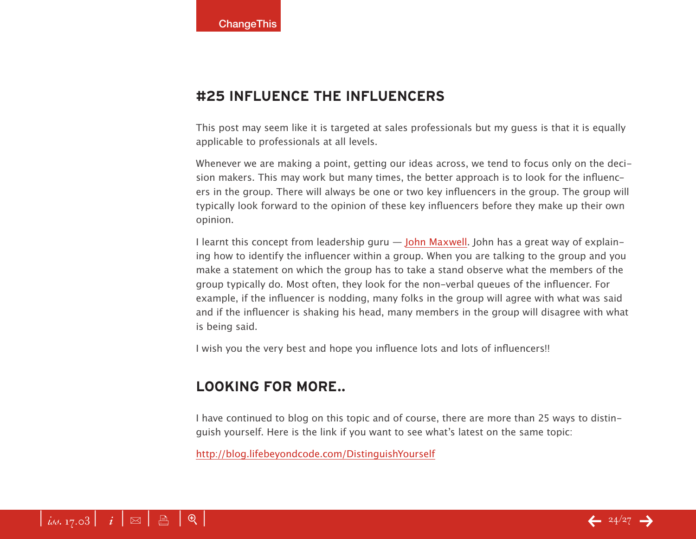## **#25 Influence the influencers**

This post may seem like it is targeted at sales professionals but my guess is that it is equally applicable to professionals at all levels.

Whenever we are making a point, getting our ideas across, we tend to focus only on the decision makers. This may work but many times, the better approach is to look for the influencers in the group. There will always be one or two key influencers in the group. The group will typically look forward to the opinion of these key influencers before they make up their own opinion.

I learnt this concept from leadership guru — [John Maxwel](http://www.maximumimpact.com)l. John has a great way of explaining how to identify the influencer within a group. When you are talking to the group and you make a statement on which the group has to take a stand observe what the members of the group typically do. Most often, they look for the non-verbal queues of the influencer. For example, if the influencer is nodding, many folks in the group will agree with what was said and if the influencer is shaking his head, many members in the group will disagree with what is being said.

I wish you the very best and hope you influence lots and lots of influencers!!

## **Looking for more..**

I have continued to blog on this topic and of course, there are more than 25 ways to distinguish yourself. Here is the link if you want to see what's latest on the same topic:

[http://blog.lifebeyondcode.com/DistinguishYoursel](http://blog.lifebeyondcode.com/DistinguishYourself)f

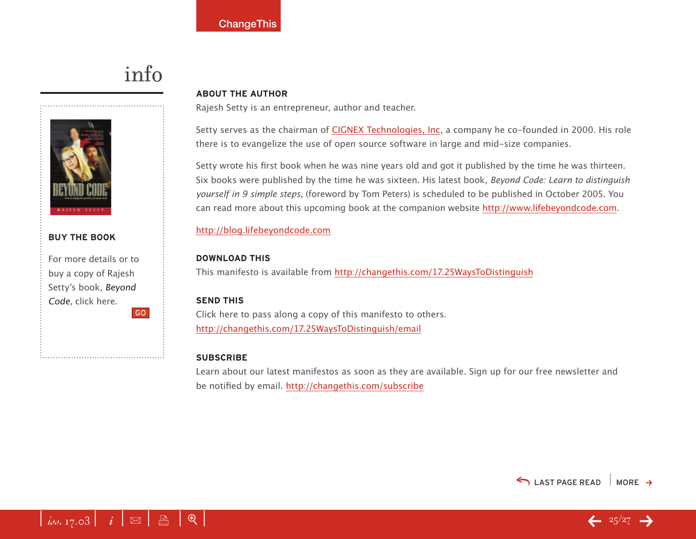# info



#### **buy the book**

For more details or to buy a copy of Rajesh Setty's book, Beyond Code, click here. GO

#### **About the Author**

Rajesh Setty is an entrepreneur, author and teacher.

Setty serves as the chairman of [CIGNEX Technologies, In](http://www.cignex.com/)c, a company he co-founded in 2000. His role there is to evangelize the use of open source software in large and mid-size companies.

Setty wrote his first book when he was nine years old and got it published by the time he was thirteen. Six books were published by the time he was sixteen. His latest book, *Beyond Code: Learn to distinguish yourself in 9 simple steps*, (foreword by Tom Peters) is scheduled to be published in October 2005. You can read more about this upcoming book at the companion website [http://www.lifebeyondcode.co](http://www.lifebeyondcode.com)m.

#### <http://blog.lifebeyondcode.com>

#### **download this**

This manifesto is available from <http://changethis.com/17.25WaysToDistinguish>

#### **send this**

Click here to pass along a copy of this manifesto to others. <http://changethis.com/17.25WaysToDistinguish/email>

#### **Subscribe**

Learn about our latest manifestos as soon as they are available. Sign up for our free newsletter and be notified by email.<http://changethis.com/subscribe>



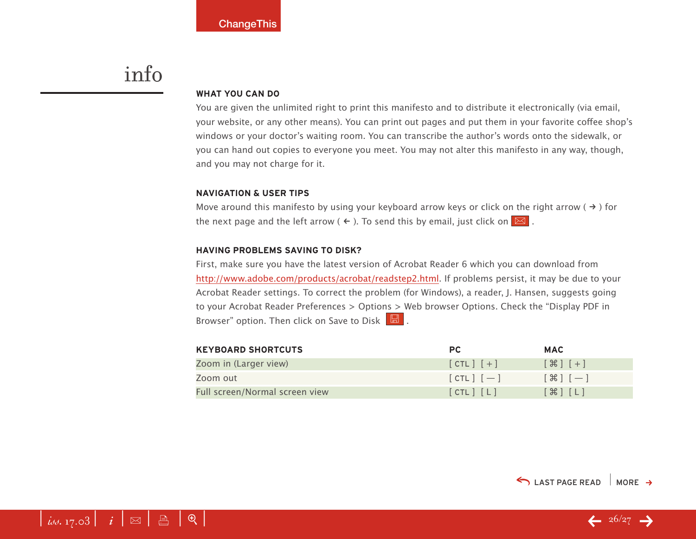## <span id="page-25-0"></span>info

#### **WHAT YOU CAN DO**

You are given the unlimited right to print this manifesto and to distribute it electronically (via email, your website, or any other means). You can print out pages and put them in your favorite coffee shop's windows or your doctor's waiting room. You can transcribe the author's words onto the sidewalk, or you can hand out copies to everyone you meet. You may not alter this manifesto in any way, though, and you may not charge for it.

#### **Navigation & User Tips**

Move around this manifesto by using your keyboard arrow keys or click on the right arrow ( $\rightarrow$ ) for the next page and the left arrow (  $\leftarrow$  ). To send this by email, just click on  $\boxed{\boxtimes}$  .

#### **Having problems saving to disk?**

First, make sure you have the latest version of Acrobat Reader 6 which you can download from <http://www.adobe.com/products/acrobat/readstep2.html>. If problems persist, it may be due to your Acrobat Reader settings. To correct the problem (for Windows), a reader, J. Hansen, suggests going to your Acrobat Reader Preferences > Options > Web browser Options. Check the "Display PDF in Browser" option. Then click on Save to Disk  $\boxed{\boxtimes}$ .

| <b>KEYBOARD SHORTCUTS</b>      | <b>PC</b>     | <b>MAC</b>                        |
|--------------------------------|---------------|-----------------------------------|
| Zoom in (Larger view)          | $[CHL]$ $[+]$ | $[$ $\mathcal{H}$ $]$ $[$ $+$ $]$ |
| Zoom out                       | $[CIL]$ $[-]$ | $[\mathcal{H}]$ $[-]$             |
| Full screen/Normal screen view | [CHL] [L]     | $[\mathcal{H}]$ $[L]$             |